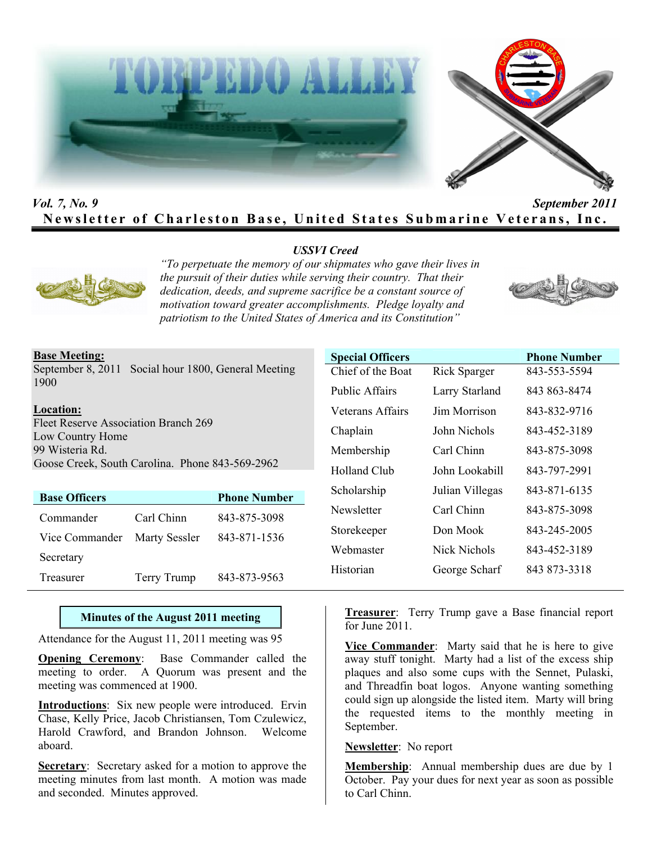



# *Vol. 7, No. 9 September 2011* **Newsletter of Charleston Base, United States Submarine Veterans, Inc.**

# *USSVI Creed*



*"To perpetuate the memory of our shipmates who gave their lives in the pursuit of their duties while serving their country. That their dedication, deeds, and supreme sacrifice be a constant source of motivation toward greater accomplishments. Pledge loyalty and patriotism to the United States of America and its Constitution"* 



#### **Base Meeting:**

September 8, 2011 Social hour 1800, General Meeting 1900

**Location:** Fleet Reserve Association Branch 269 Low Country Home 99 Wisteria Rd. Goose Creek, South Carolina. Phone 843-569-2962

| <b>Base Officers</b>         |             | <b>Phone Number</b> |
|------------------------------|-------------|---------------------|
| Commander                    | Carl Chinn  | 843-875-3098        |
| Vice Commander Marty Sessler |             | 843-871-1536        |
| Secretary                    |             |                     |
| Treasurer                    | Terry Trump | 843-873-9563        |

# **Minutes of the August 2011 meeting**

Attendance for the August 11, 2011 meeting was 95

**Opening Ceremony**: Base Commander called the meeting to order. A Quorum was present and the meeting was commenced at 1900.

**Introductions**: Six new people were introduced. Ervin Chase, Kelly Price, Jacob Christiansen, Tom Czulewicz, Harold Crawford, and Brandon Johnson. Welcome aboard.

**Secretary:** Secretary asked for a motion to approve the meeting minutes from last month. A motion was made and seconded. Minutes approved.

| <b>Special Officers</b> |                     | <b>Phone Number</b> |
|-------------------------|---------------------|---------------------|
| Chief of the Boat       | <b>Rick Sparger</b> | 843-553-5594        |
| <b>Public Affairs</b>   | Larry Starland      | 843 863-8474        |
| Veterans Affairs        | Jim Morrison        | 843-832-9716        |
| Chaplain                | John Nichols        | 843-452-3189        |
| Membership              | Carl Chinn          | 843-875-3098        |
| Holland Club            | John Lookabill      | 843-797-2991        |
| Scholarship             | Julian Villegas     | 843-871-6135        |
| Newsletter              | Carl Chinn          | 843-875-3098        |
| Storekeeper             | Don Mook            | 843-245-2005        |
| Webmaster               | <b>Nick Nichols</b> | 843-452-3189        |
| Historian               | George Scharf       | 843 873-3318        |

**Treasurer**: Terry Trump gave a Base financial report for June 2011.

**Vice Commander**: Marty said that he is here to give away stuff tonight. Marty had a list of the excess ship plaques and also some cups with the Sennet, Pulaski, and Threadfin boat logos. Anyone wanting something could sign up alongside the listed item. Marty will bring the requested items to the monthly meeting in September.

#### **Newsletter**: No report

**Membership**: Annual membership dues are due by 1 October. Pay your dues for next year as soon as possible to Carl Chinn.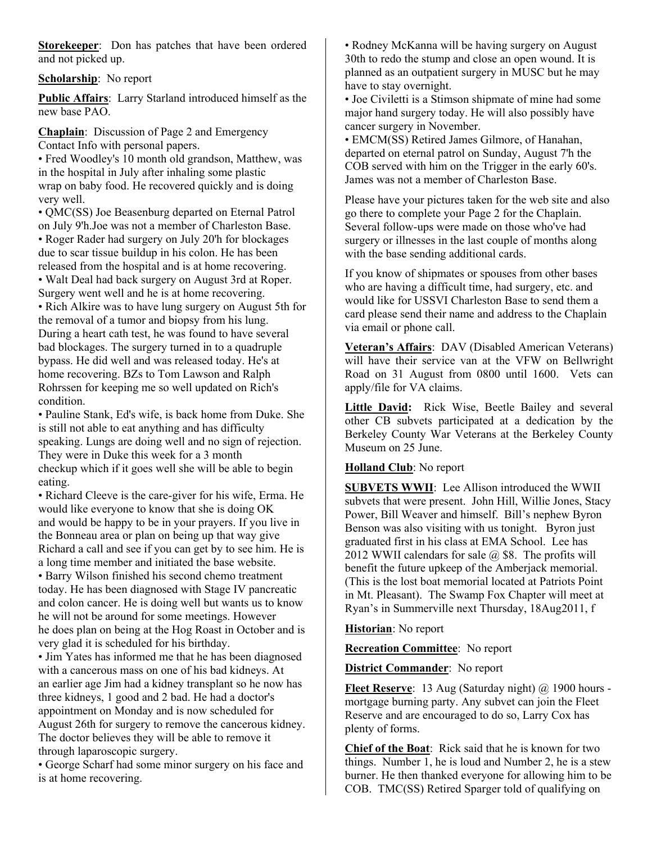**Storekeeper**: Don has patches that have been ordered and not picked up.

**Scholarship**: No report

**Public Affairs**: Larry Starland introduced himself as the new base PAO.

**Chaplain**: Discussion of Page 2 and Emergency Contact Info with personal papers.

• Fred Woodley's 10 month old grandson, Matthew, was in the hospital in July after inhaling some plastic wrap on baby food. He recovered quickly and is doing very well.

• QMC(SS) Joe Beasenburg departed on Eternal Patrol on July 9'h.Joe was not a member of Charleston Base. • Roger Rader had surgery on July 20'h for blockages due to scar tissue buildup in his colon. He has been released from the hospital and is at home recovering. • Walt Deal had back surgery on August 3rd at Roper. Surgery went well and he is at home recovering. • Rich Alkire was to have lung surgery on August 5th for the removal of a tumor and biopsy from his lung. During a heart cath test, he was found to have several bad blockages. The surgery turned in to a quadruple

bypass. He did well and was released today. He's at home recovering. BZs to Tom Lawson and Ralph Rohrssen for keeping me so well updated on Rich's condition.

• Pauline Stank, Ed's wife, is back home from Duke. She is still not able to eat anything and has difficulty speaking. Lungs are doing well and no sign of rejection. They were in Duke this week for a 3 month checkup which if it goes well she will be able to begin eating.

• Richard Cleeve is the care-giver for his wife, Erma. He would like everyone to know that she is doing OK and would be happy to be in your prayers. If you live in the Bonneau area or plan on being up that way give Richard a call and see if you can get by to see him. He is a long time member and initiated the base website. • Barry Wilson finished his second chemo treatment today. He has been diagnosed with Stage IV pancreatic and colon cancer. He is doing well but wants us to know he will not be around for some meetings. However he does plan on being at the Hog Roast in October and is very glad it is scheduled for his birthday.

• Jim Yates has informed me that he has been diagnosed with a cancerous mass on one of his bad kidneys. At an earlier age Jim had a kidney transplant so he now has three kidneys, 1 good and 2 bad. He had a doctor's appointment on Monday and is now scheduled for August 26th for surgery to remove the cancerous kidney. The doctor believes they will be able to remove it through laparoscopic surgery.

• George Scharf had some minor surgery on his face and is at home recovering.

• Rodney McKanna will be having surgery on August 30th to redo the stump and close an open wound. It is planned as an outpatient surgery in MUSC but he may have to stay overnight.

• Joe Civiletti is a Stimson shipmate of mine had some major hand surgery today. He will also possibly have cancer surgery in November.

• EMCM(SS) Retired James Gilmore, of Hanahan, departed on eternal patrol on Sunday, August 7'h the COB served with him on the Trigger in the early 60's. James was not a member of Charleston Base.

Please have your pictures taken for the web site and also go there to complete your Page 2 for the Chaplain. Several follow-ups were made on those who've had surgery or illnesses in the last couple of months along with the base sending additional cards.

If you know of shipmates or spouses from other bases who are having a difficult time, had surgery, etc. and would like for USSVI Charleston Base to send them a card please send their name and address to the Chaplain via email or phone call.

**Veteran's Affairs**: DAV (Disabled American Veterans) will have their service van at the VFW on Bellwright Road on 31 August from 0800 until 1600. Vets can apply/file for VA claims.

**Little David:** Rick Wise, Beetle Bailey and several other CB subvets participated at a dedication by the Berkeley County War Veterans at the Berkeley County Museum on 25 June.

# **Holland Club**: No report

**SUBVETS WWII**: Lee Allison introduced the WWII subvets that were present. John Hill, Willie Jones, Stacy Power, Bill Weaver and himself. Bill's nephew Byron Benson was also visiting with us tonight. Byron just graduated first in his class at EMA School. Lee has 2012 WWII calendars for sale  $\omega$  \$8. The profits will benefit the future upkeep of the Amberjack memorial. (This is the lost boat memorial located at Patriots Point in Mt. Pleasant). The Swamp Fox Chapter will meet at Ryan's in Summerville next Thursday, 18Aug2011, f

**Historian**: No report

**Recreation Committee**: No report

**District Commander**: No report

Fleet Reserve: 13 Aug (Saturday night) @ 1900 hours mortgage burning party. Any subvet can join the Fleet Reserve and are encouraged to do so, Larry Cox has plenty of forms.

**Chief of the Boat**: Rick said that he is known for two things. Number 1, he is loud and Number 2, he is a stew burner. He then thanked everyone for allowing him to be COB. TMC(SS) Retired Sparger told of qualifying on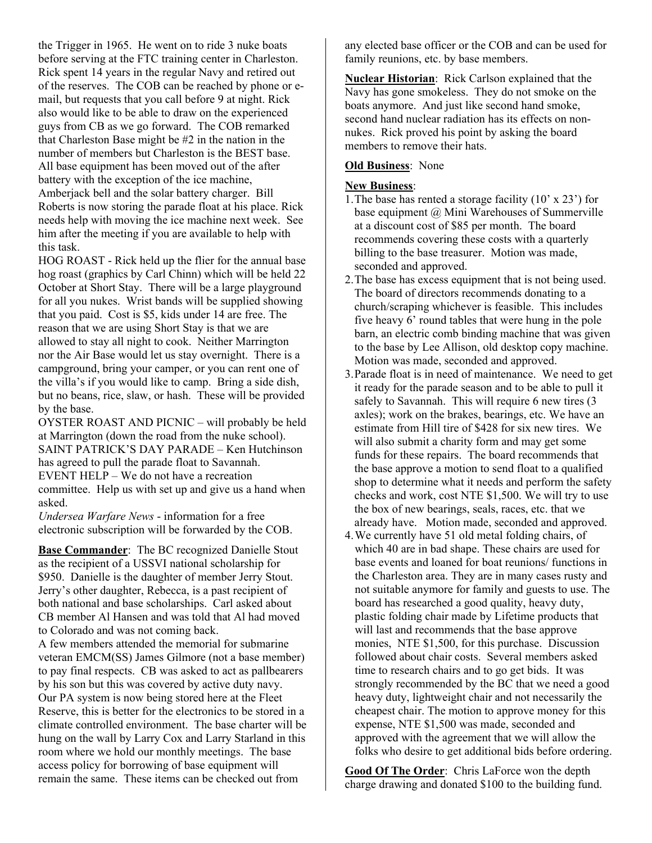the Trigger in 1965. He went on to ride 3 nuke boats before serving at the FTC training center in Charleston. Rick spent 14 years in the regular Navy and retired out of the reserves. The COB can be reached by phone or email, but requests that you call before 9 at night. Rick also would like to be able to draw on the experienced guys from CB as we go forward. The COB remarked that Charleston Base might be #2 in the nation in the number of members but Charleston is the BEST base. All base equipment has been moved out of the after battery with the exception of the ice machine, Amberjack bell and the solar battery charger. Bill Roberts is now storing the parade float at his place. Rick needs help with moving the ice machine next week. See him after the meeting if you are available to help with this task.

HOG ROAST - Rick held up the flier for the annual base hog roast (graphics by Carl Chinn) which will be held 22 October at Short Stay. There will be a large playground for all you nukes. Wrist bands will be supplied showing that you paid. Cost is \$5, kids under 14 are free. The reason that we are using Short Stay is that we are allowed to stay all night to cook. Neither Marrington nor the Air Base would let us stay overnight. There is a campground, bring your camper, or you can rent one of the villa's if you would like to camp. Bring a side dish, but no beans, rice, slaw, or hash. These will be provided by the base.

OYSTER ROAST AND PICNIC – will probably be held at Marrington (down the road from the nuke school). SAINT PATRICK'S DAY PARADE – Ken Hutchinson has agreed to pull the parade float to Savannah. EVENT HELP – We do not have a recreation committee. Help us with set up and give us a hand when asked.

*Undersea Warfare News* - information for a free electronic subscription will be forwarded by the COB.

**Base Commander**: The BC recognized Danielle Stout as the recipient of a USSVI national scholarship for \$950. Danielle is the daughter of member Jerry Stout. Jerry's other daughter, Rebecca, is a past recipient of both national and base scholarships. Carl asked about CB member Al Hansen and was told that Al had moved to Colorado and was not coming back.

A few members attended the memorial for submarine veteran EMCM(SS) James Gilmore (not a base member) to pay final respects. CB was asked to act as pallbearers by his son but this was covered by active duty navy. Our PA system is now being stored here at the Fleet Reserve, this is better for the electronics to be stored in a climate controlled environment. The base charter will be hung on the wall by Larry Cox and Larry Starland in this room where we hold our monthly meetings. The base access policy for borrowing of base equipment will remain the same. These items can be checked out from

any elected base officer or the COB and can be used for family reunions, etc. by base members.

**Nuclear Historian**: Rick Carlson explained that the Navy has gone smokeless. They do not smoke on the boats anymore. And just like second hand smoke, second hand nuclear radiation has its effects on nonnukes. Rick proved his point by asking the board members to remove their hats.

# **Old Business**: None

# **New Business**:

- 1. The base has rented a storage facility (10' x 23') for base equipment @ Mini Warehouses of Summerville at a discount cost of \$85 per month. The board recommends covering these costs with a quarterly billing to the base treasurer. Motion was made, seconded and approved.
- 2. The base has excess equipment that is not being used. The board of directors recommends donating to a church/scraping whichever is feasible. This includes five heavy 6' round tables that were hung in the pole barn, an electric comb binding machine that was given to the base by Lee Allison, old desktop copy machine. Motion was made, seconded and approved.
- 3. Parade float is in need of maintenance. We need to get it ready for the parade season and to be able to pull it safely to Savannah. This will require 6 new tires (3 axles); work on the brakes, bearings, etc. We have an estimate from Hill tire of \$428 for six new tires. We will also submit a charity form and may get some funds for these repairs. The board recommends that the base approve a motion to send float to a qualified shop to determine what it needs and perform the safety checks and work, cost NTE \$1,500. We will try to use the box of new bearings, seals, races, etc. that we already have. Motion made, seconded and approved.
- 4. We currently have 51 old metal folding chairs, of which 40 are in bad shape. These chairs are used for base events and loaned for boat reunions/ functions in the Charleston area. They are in many cases rusty and not suitable anymore for family and guests to use. The board has researched a good quality, heavy duty, plastic folding chair made by Lifetime products that will last and recommends that the base approve monies, NTE \$1,500, for this purchase. Discussion followed about chair costs. Several members asked time to research chairs and to go get bids. It was strongly recommended by the BC that we need a good heavy duty, lightweight chair and not necessarily the cheapest chair. The motion to approve money for this expense, NTE \$1,500 was made, seconded and approved with the agreement that we will allow the folks who desire to get additional bids before ordering.

**Good Of The Order**: Chris LaForce won the depth charge drawing and donated \$100 to the building fund.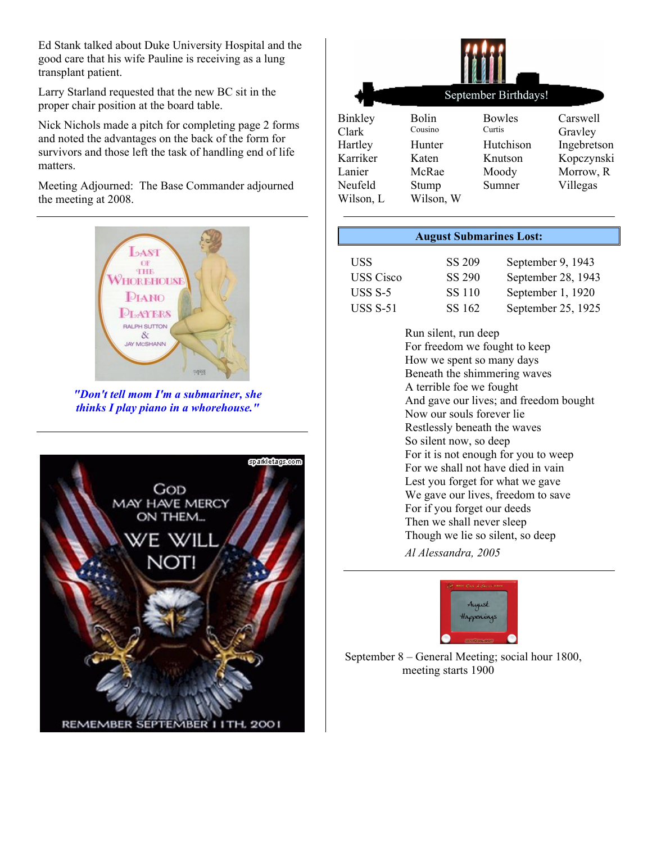Ed Stank talked about Duke University Hospital and the good care that his wife Pauline is receiving as a lung transplant patient.

Larry Starland requested that the new BC sit in the proper chair position at the board table.

Nick Nichols made a pitch for completing page 2 forms and noted the advantages on the back of the form for survivors and those left the task of handling end of life matters.

Meeting Adjourned: The Base Commander adjourned the meeting at 2008.



*"Don't tell mom I'm a submariner, she thinks I play piano in a whorehouse."* 





| <b>August Submarines Lost:</b> |               |                    |  |
|--------------------------------|---------------|--------------------|--|
| <b>USS</b>                     | SS 209        | September 9, 1943  |  |
| <b>USS Cisco</b>               | SS 290        | September 28, 1943 |  |
| $USSS-5$                       | <b>SS 110</b> | September 1, 1920  |  |
| <b>USS S-51</b>                | SS 162        | September 25, 1925 |  |

Run silent, run deep For freedom we fought to keep How we spent so many days Beneath the shimmering waves A terrible foe we fought And gave our lives; and freedom bought Now our souls forever lie Restlessly beneath the waves So silent now, so deep For it is not enough for you to weep For we shall not have died in vain Lest you forget for what we gave We gave our lives, freedom to save For if you forget our deeds Then we shall never sleep Though we lie so silent, so deep

*Al Alessandra, 2005* 



September 8 – General Meeting; social hour 1800, meeting starts 1900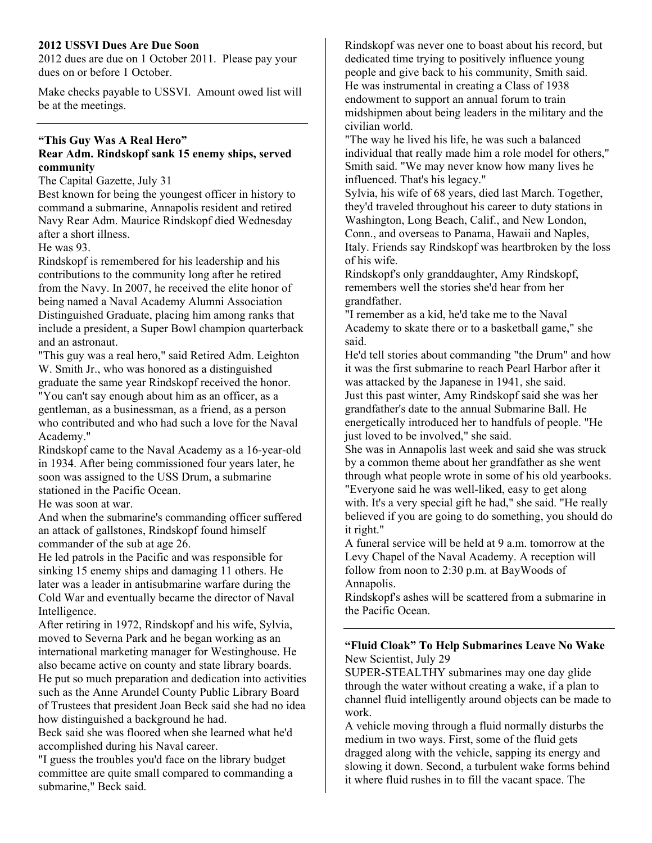#### **2012 USSVI Dues Are Due Soon**

2012 dues are due on 1 October 2011. Please pay your dues on or before 1 October.

Make checks payable to USSVI. Amount owed list will be at the meetings.

#### **"This Guy Was A Real Hero" Rear Adm. Rindskopf sank 15 enemy ships, served community**

The Capital Gazette, July 31

Best known for being the youngest officer in history to command a submarine, Annapolis resident and retired Navy Rear Adm. Maurice Rindskopf died Wednesday after a short illness.

He was 93.

Rindskopf is remembered for his leadership and his contributions to the community long after he retired from the Navy. In 2007, he received the elite honor of being named a Naval Academy Alumni Association Distinguished Graduate, placing him among ranks that include a president, a Super Bowl champion quarterback and an astronaut.

"This guy was a real hero," said Retired Adm. Leighton W. Smith Jr., who was honored as a distinguished

graduate the same year Rindskopf received the honor. "You can't say enough about him as an officer, as a gentleman, as a businessman, as a friend, as a person who contributed and who had such a love for the Naval Academy."

Rindskopf came to the Naval Academy as a 16-year-old in 1934. After being commissioned four years later, he soon was assigned to the USS Drum, a submarine stationed in the Pacific Ocean.

He was soon at war.

And when the submarine's commanding officer suffered an attack of gallstones, Rindskopf found himself commander of the sub at age 26.

He led patrols in the Pacific and was responsible for sinking 15 enemy ships and damaging 11 others. He later was a leader in antisubmarine warfare during the Cold War and eventually became the director of Naval Intelligence.

After retiring in 1972, Rindskopf and his wife, Sylvia, moved to Severna Park and he began working as an international marketing manager for Westinghouse. He also became active on county and state library boards. He put so much preparation and dedication into activities such as the Anne Arundel County Public Library Board of Trustees that president Joan Beck said she had no idea how distinguished a background he had.

Beck said she was floored when she learned what he'd accomplished during his Naval career.

"I guess the troubles you'd face on the library budget committee are quite small compared to commanding a submarine," Beck said.

Rindskopf was never one to boast about his record, but dedicated time trying to positively influence young people and give back to his community, Smith said. He was instrumental in creating a Class of 1938 endowment to support an annual forum to train midshipmen about being leaders in the military and the civilian world.

"The way he lived his life, he was such a balanced individual that really made him a role model for others," Smith said. "We may never know how many lives he influenced. That's his legacy."

Sylvia, his wife of 68 years, died last March. Together, they'd traveled throughout his career to duty stations in Washington, Long Beach, Calif., and New London, Conn., and overseas to Panama, Hawaii and Naples, Italy. Friends say Rindskopf was heartbroken by the loss of his wife.

Rindskopf's only granddaughter, Amy Rindskopf, remembers well the stories she'd hear from her grandfather.

"I remember as a kid, he'd take me to the Naval Academy to skate there or to a basketball game," she said.

He'd tell stories about commanding "the Drum" and how it was the first submarine to reach Pearl Harbor after it was attacked by the Japanese in 1941, she said. Just this past winter, Amy Rindskopf said she was her grandfather's date to the annual Submarine Ball. He energetically introduced her to handfuls of people. "He just loved to be involved," she said.

She was in Annapolis last week and said she was struck by a common theme about her grandfather as she went through what people wrote in some of his old yearbooks. "Everyone said he was well-liked, easy to get along with. It's a very special gift he had," she said. "He really believed if you are going to do something, you should do it right."

A funeral service will be held at 9 a.m. tomorrow at the Levy Chapel of the Naval Academy. A reception will follow from noon to 2:30 p.m. at BayWoods of Annapolis.

Rindskopf's ashes will be scattered from a submarine in the Pacific Ocean.

#### **"Fluid Cloak" To Help Submarines Leave No Wake**  New Scientist, July 29

SUPER-STEALTHY submarines may one day glide through the water without creating a wake, if a plan to channel fluid intelligently around objects can be made to work.

A vehicle moving through a fluid normally disturbs the medium in two ways. First, some of the fluid gets dragged along with the vehicle, sapping its energy and slowing it down. Second, a turbulent wake forms behind it where fluid rushes in to fill the vacant space. The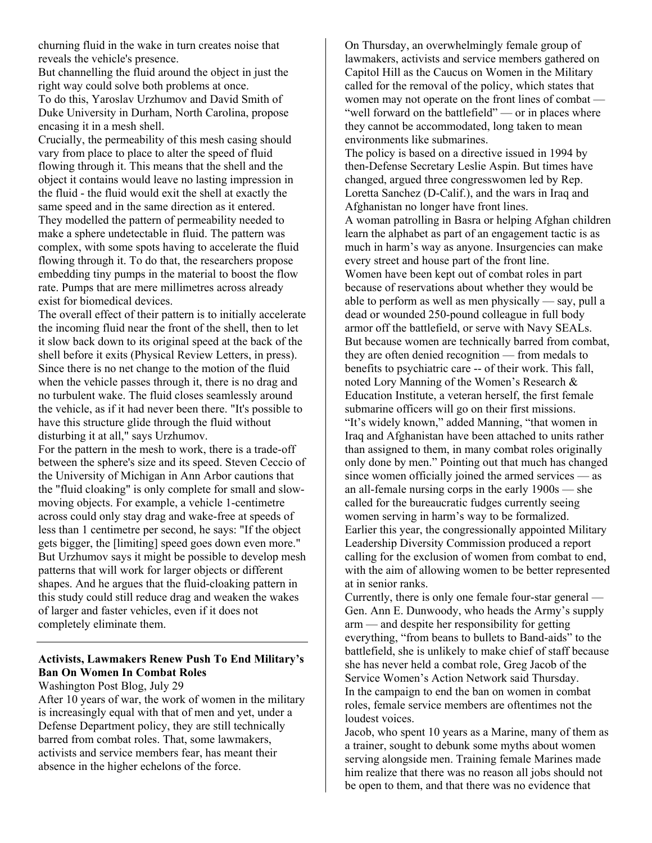churning fluid in the wake in turn creates noise that reveals the vehicle's presence.

But channelling the fluid around the object in just the right way could solve both problems at once. To do this, Yaroslav Urzhumov and David Smith of Duke University in Durham, North Carolina, propose encasing it in a mesh shell.

Crucially, the permeability of this mesh casing should vary from place to place to alter the speed of fluid flowing through it. This means that the shell and the object it contains would leave no lasting impression in the fluid - the fluid would exit the shell at exactly the same speed and in the same direction as it entered. They modelled the pattern of permeability needed to make a sphere undetectable in fluid. The pattern was complex, with some spots having to accelerate the fluid flowing through it. To do that, the researchers propose embedding tiny pumps in the material to boost the flow rate. Pumps that are mere millimetres across already exist for biomedical devices.

The overall effect of their pattern is to initially accelerate the incoming fluid near the front of the shell, then to let it slow back down to its original speed at the back of the shell before it exits (Physical Review Letters, in press). Since there is no net change to the motion of the fluid when the vehicle passes through it, there is no drag and no turbulent wake. The fluid closes seamlessly around the vehicle, as if it had never been there. "It's possible to have this structure glide through the fluid without disturbing it at all," says Urzhumov.

For the pattern in the mesh to work, there is a trade-off between the sphere's size and its speed. Steven Ceccio of the University of Michigan in Ann Arbor cautions that the "fluid cloaking" is only complete for small and slowmoving objects. For example, a vehicle 1-centimetre across could only stay drag and wake-free at speeds of less than 1 centimetre per second, he says: "If the object gets bigger, the [limiting] speed goes down even more." But Urzhumov says it might be possible to develop mesh patterns that will work for larger objects or different shapes. And he argues that the fluid-cloaking pattern in this study could still reduce drag and weaken the wakes of larger and faster vehicles, even if it does not completely eliminate them.

# **Activists, Lawmakers Renew Push To End Military's Ban On Women In Combat Roles**

Washington Post Blog, July 29

After 10 years of war, the work of women in the military is increasingly equal with that of men and yet, under a Defense Department policy, they are still technically barred from combat roles. That, some lawmakers, activists and service members fear, has meant their absence in the higher echelons of the force.

On Thursday, an overwhelmingly female group of lawmakers, activists and service members gathered on Capitol Hill as the Caucus on Women in the Military called for the removal of the policy, which states that women may not operate on the front lines of combat — "well forward on the battlefield" — or in places where they cannot be accommodated, long taken to mean environments like submarines.

The policy is based on a directive issued in 1994 by then-Defense Secretary Leslie Aspin. But times have changed, argued three congresswomen led by Rep. Loretta Sanchez (D-Calif.), and the wars in Iraq and Afghanistan no longer have front lines.

A woman patrolling in Basra or helping Afghan children learn the alphabet as part of an engagement tactic is as much in harm's way as anyone. Insurgencies can make every street and house part of the front line. Women have been kept out of combat roles in part because of reservations about whether they would be able to perform as well as men physically — say, pull a dead or wounded 250-pound colleague in full body armor off the battlefield, or serve with Navy SEALs. But because women are technically barred from combat, they are often denied recognition — from medals to benefits to psychiatric care -- of their work. This fall, noted Lory Manning of the Women's Research & Education Institute, a veteran herself, the first female submarine officers will go on their first missions. "It's widely known," added Manning, "that women in Iraq and Afghanistan have been attached to units rather than assigned to them, in many combat roles originally only done by men." Pointing out that much has changed since women officially joined the armed services — as an all-female nursing corps in the early 1900s — she called for the bureaucratic fudges currently seeing women serving in harm's way to be formalized. Earlier this year, the congressionally appointed Military Leadership Diversity Commission produced a report calling for the exclusion of women from combat to end, with the aim of allowing women to be better represented at in senior ranks.

Currently, there is only one female four-star general — Gen. Ann E. Dunwoody, who heads the Army's supply arm — and despite her responsibility for getting everything, "from beans to bullets to Band-aids" to the battlefield, she is unlikely to make chief of staff because she has never held a combat role, Greg Jacob of the Service Women's Action Network said Thursday. In the campaign to end the ban on women in combat roles, female service members are oftentimes not the loudest voices.

Jacob, who spent 10 years as a Marine, many of them as a trainer, sought to debunk some myths about women serving alongside men. Training female Marines made him realize that there was no reason all jobs should not be open to them, and that there was no evidence that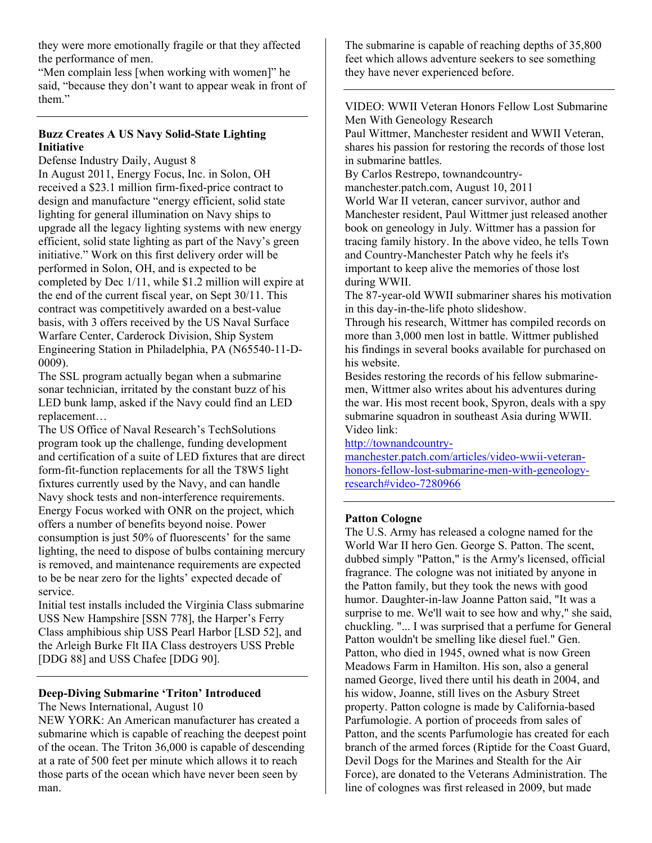they were more emotionally fragile or that they affected the performance of men.

"Men complain less [when working with women]" he said, "because they don't want to appear weak in front of them."

# **Buzz Creates A US Navy Solid-State Lighting Initiative**

Defense Industry Daily, August 8

In August 2011, Energy Focus, Inc. in Solon, OH received a \$23.1 million firm-fixed-price contract to design and manufacture "energy efficient, solid state lighting for general illumination on Navy ships to upgrade all the legacy lighting systems with new energy efficient, solid state lighting as part of the Navy's green initiative." Work on this first delivery order will be performed in Solon, OH, and is expected to be completed by Dec 1/11, while \$1.2 million will expire at the end of the current fiscal year, on Sept 30/11. This contract was competitively awarded on a best-value basis, with 3 offers received by the US Naval Surface Warfare Center, Carderock Division, Ship System Engineering Station in Philadelphia, PA (N65540-11-D-0009).

The SSL program actually began when a submarine sonar technician, irritated by the constant buzz of his LED bunk lamp, asked if the Navy could find an LED replacement…

The US Office of Naval Research's TechSolutions program took up the challenge, funding development and certification of a suite of LED fixtures that are direct form-fit-function replacements for all the T8W5 light fixtures currently used by the Navy, and can handle Navy shock tests and non-interference requirements. Energy Focus worked with ONR on the project, which offers a number of benefits beyond noise. Power consumption is just 50% of fluorescents' for the same lighting, the need to dispose of bulbs containing mercury is removed, and maintenance requirements are expected to be be near zero for the lights' expected decade of service.

Initial test installs included the Virginia Class submarine USS New Hampshire [SSN 778], the Harper's Ferry Class amphibious ship USS Pearl Harbor [LSD 52], and the Arleigh Burke Flt IIA Class destroyers USS Preble [DDG 88] and USS Chafee [DDG 90].

#### **Deep-Diving Submarine 'Triton' Introduced**  The News International, August 10

NEW YORK: An American manufacturer has created a submarine which is capable of reaching the deepest point of the ocean. The Triton 36,000 is capable of descending at a rate of 500 feet per minute which allows it to reach those parts of the ocean which have never been seen by man.

The submarine is capable of reaching depths of 35,800 feet which allows adventure seekers to see something they have never experienced before.

VIDEO: WWII Veteran Honors Fellow Lost Submarine Men With Geneology Research

Paul Wittmer, Manchester resident and WWII Veteran, shares his passion for restoring the records of those lost in submarine battles.

By Carlos Restrepo, townandcountry-

manchester.patch.com, August 10, 2011

World War II veteran, cancer survivor, author and Manchester resident, Paul Wittmer just released another book on geneology in July. Wittmer has a passion for tracing family history. In the above video, he tells Town and Country-Manchester Patch why he feels it's important to keep alive the memories of those lost during WWII.

The 87-year-old WWII submariner shares his motivation in this day-in-the-life photo slideshow.

Through his research, Wittmer has compiled records on more than 3,000 men lost in battle. Wittmer published his findings in several books available for purchased on his website.

Besides restoring the records of his fellow submarinemen, Wittmer also writes about his adventures during the war. His most recent book, Spyron, deals with a spy submarine squadron in southeast Asia during WWII. Video link:

http://townandcountry-

manchester.patch.com/articles/video-wwii-veteranhonors-fellow-lost-submarine-men-with-geneologyresearch#video-7280966

# **Patton Cologne**

The U.S. Army has released a cologne named for the World War II hero Gen. George S. Patton. The scent, dubbed simply "Patton," is the Army's licensed, official fragrance. The cologne was not initiated by anyone in the Patton family, but they took the news with good humor. Daughter-in-law Joanne Patton said, "It was a surprise to me. We'll wait to see how and why," she said, chuckling. "... I was surprised that a perfume for General Patton wouldn't be smelling like diesel fuel." Gen. Patton, who died in 1945, owned what is now Green Meadows Farm in Hamilton. His son, also a general named George, lived there until his death in 2004, and his widow, Joanne, still lives on the Asbury Street property. Patton cologne is made by California-based Parfumologie. A portion of proceeds from sales of Patton, and the scents Parfumologie has created for each branch of the armed forces (Riptide for the Coast Guard, Devil Dogs for the Marines and Stealth for the Air Force), are donated to the Veterans Administration. The line of colognes was first released in 2009, but made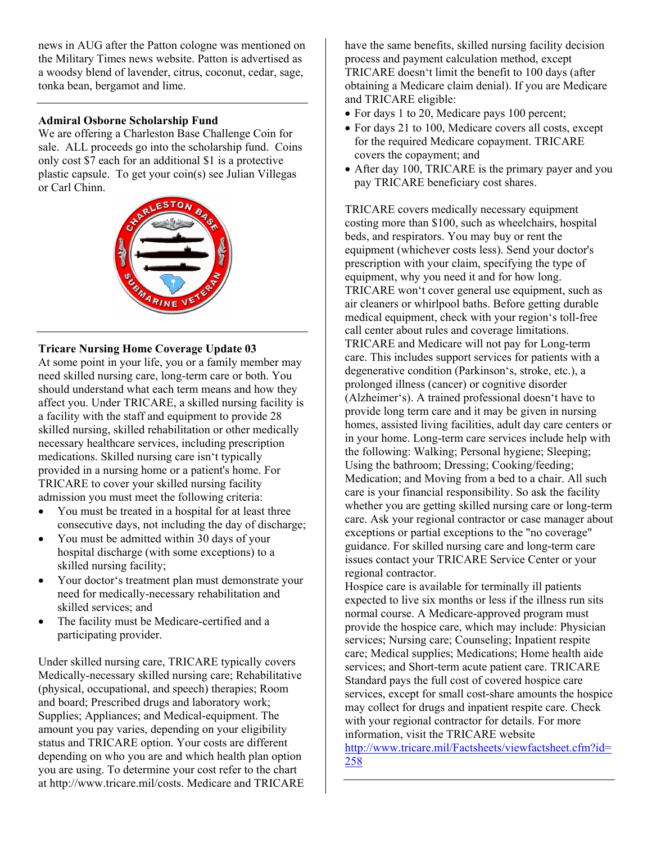news in AUG after the Patton cologne was mentioned on the Military Times news website. Patton is advertised as a woodsy blend of lavender, citrus, coconut, cedar, sage, tonka bean, bergamot and lime.

#### **Admiral Osborne Scholarship Fund**

We are offering a Charleston Base Challenge Coin for sale. ALL proceeds go into the scholarship fund. Coins only cost \$7 each for an additional \$1 is a protective plastic capsule. To get your coin(s) see Julian Villegas or Carl Chinn.



# **Tricare Nursing Home Coverage Update 03**

At some point in your life, you or a family member may need skilled nursing care, long-term care or both. You should understand what each term means and how they affect you. Under TRICARE, a skilled nursing facility is a facility with the staff and equipment to provide 28 skilled nursing, skilled rehabilitation or other medically necessary healthcare services, including prescription medications. Skilled nursing care isn't typically provided in a nursing home or a patient's home. For TRICARE to cover your skilled nursing facility admission you must meet the following criteria:

- You must be treated in a hospital for at least three consecutive days, not including the day of discharge;
- You must be admitted within 30 days of your hospital discharge (with some exceptions) to a skilled nursing facility;
- Your doctor's treatment plan must demonstrate your need for medically-necessary rehabilitation and skilled services; and
- The facility must be Medicare-certified and a participating provider.

Under skilled nursing care, TRICARE typically covers Medically-necessary skilled nursing care; Rehabilitative (physical, occupational, and speech) therapies; Room and board; Prescribed drugs and laboratory work; Supplies; Appliances; and Medical-equipment. The amount you pay varies, depending on your eligibility status and TRICARE option. Your costs are different depending on who you are and which health plan option you are using. To determine your cost refer to the chart at http://www.tricare.mil/costs. Medicare and TRICARE

have the same benefits, skilled nursing facility decision process and payment calculation method, except TRICARE doesn't limit the benefit to 100 days (after obtaining a Medicare claim denial). If you are Medicare and TRICARE eligible:

- For days 1 to 20, Medicare pays 100 percent;
- For days 21 to 100, Medicare covers all costs, except for the required Medicare copayment. TRICARE covers the copayment; and
- After day 100, TRICARE is the primary payer and you pay TRICARE beneficiary cost shares.

TRICARE covers medically necessary equipment costing more than \$100, such as wheelchairs, hospital beds, and respirators. You may buy or rent the equipment (whichever costs less). Send your doctor's prescription with your claim, specifying the type of equipment, why you need it and for how long. TRICARE won't cover general use equipment, such as air cleaners or whirlpool baths. Before getting durable medical equipment, check with your region's toll-free call center about rules and coverage limitations. TRICARE and Medicare will not pay for Long-term care. This includes support services for patients with a degenerative condition (Parkinson's, stroke, etc.), a prolonged illness (cancer) or cognitive disorder (Alzheimer's). A trained professional doesn't have to provide long term care and it may be given in nursing homes, assisted living facilities, adult day care centers or in your home. Long-term care services include help with the following: Walking; Personal hygiene; Sleeping; Using the bathroom; Dressing; Cooking/feeding; Medication; and Moving from a bed to a chair. All such care is your financial responsibility. So ask the facility whether you are getting skilled nursing care or long-term care. Ask your regional contractor or case manager about exceptions or partial exceptions to the "no coverage" guidance. For skilled nursing care and long-term care issues contact your TRICARE Service Center or your regional contractor.

Hospice care is available for terminally ill patients expected to live six months or less if the illness run sits normal course. A Medicare-approved program must provide the hospice care, which may include: Physician services; Nursing care; Counseling; Inpatient respite care; Medical supplies; Medications; Home health aide services; and Short-term acute patient care. TRICARE Standard pays the full cost of covered hospice care services, except for small cost-share amounts the hospice may collect for drugs and inpatient respite care. Check with your regional contractor for details. For more information, visit the TRICARE website http://www.tricare.mil/Factsheets/viewfactsheet.cfm?id= 258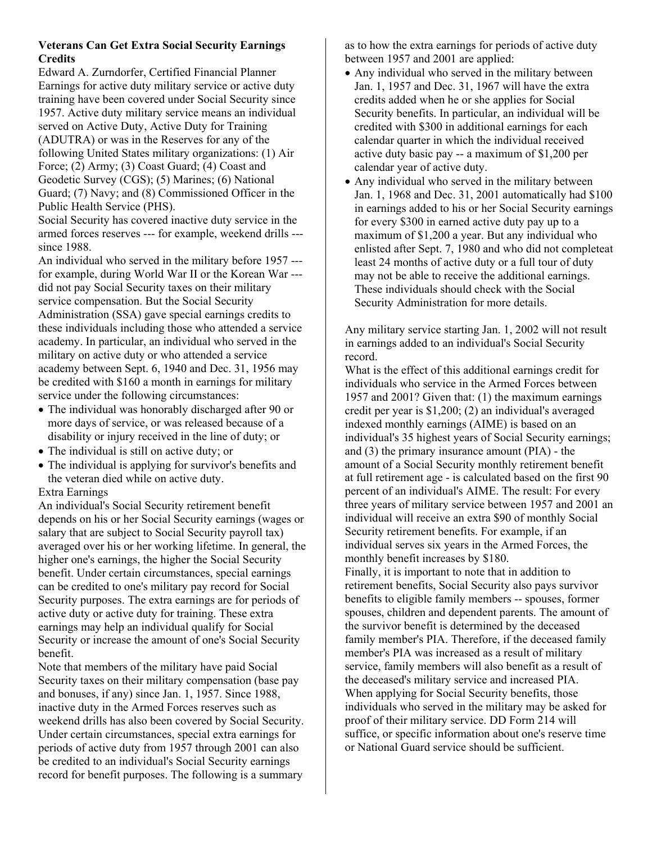# **Veterans Can Get Extra Social Security Earnings Credits**

Edward A. Zurndorfer, Certified Financial Planner Earnings for active duty military service or active duty training have been covered under Social Security since 1957. Active duty military service means an individual served on Active Duty, Active Duty for Training (ADUTRA) or was in the Reserves for any of the following United States military organizations: (1) Air Force; (2) Army; (3) Coast Guard; (4) Coast and Geodetic Survey (CGS); (5) Marines; (6) National Guard; (7) Navy; and (8) Commissioned Officer in the Public Health Service (PHS).

Social Security has covered inactive duty service in the armed forces reserves --- for example, weekend drills -- since 1988.

An individual who served in the military before 1957 -- for example, during World War II or the Korean War -- did not pay Social Security taxes on their military service compensation. But the Social Security Administration (SSA) gave special earnings credits to these individuals including those who attended a service academy. In particular, an individual who served in the military on active duty or who attended a service academy between Sept. 6, 1940 and Dec. 31, 1956 may be credited with \$160 a month in earnings for military service under the following circumstances:

- The individual was honorably discharged after 90 or more days of service, or was released because of a disability or injury received in the line of duty; or
- The individual is still on active duty; or
- The individual is applying for survivor's benefits and the veteran died while on active duty.

# Extra Earnings

An individual's Social Security retirement benefit depends on his or her Social Security earnings (wages or salary that are subject to Social Security payroll tax) averaged over his or her working lifetime. In general, the higher one's earnings, the higher the Social Security benefit. Under certain circumstances, special earnings can be credited to one's military pay record for Social Security purposes. The extra earnings are for periods of active duty or active duty for training. These extra earnings may help an individual qualify for Social Security or increase the amount of one's Social Security benefit.

Note that members of the military have paid Social Security taxes on their military compensation (base pay and bonuses, if any) since Jan. 1, 1957. Since 1988, inactive duty in the Armed Forces reserves such as weekend drills has also been covered by Social Security. Under certain circumstances, special extra earnings for periods of active duty from 1957 through 2001 can also be credited to an individual's Social Security earnings record for benefit purposes. The following is a summary

as to how the extra earnings for periods of active duty between 1957 and 2001 are applied:

- Any individual who served in the military between Jan. 1, 1957 and Dec. 31, 1967 will have the extra credits added when he or she applies for Social Security benefits. In particular, an individual will be credited with \$300 in additional earnings for each calendar quarter in which the individual received active duty basic pay -- a maximum of \$1,200 per calendar year of active duty.
- Any individual who served in the military between Jan. 1, 1968 and Dec. 31, 2001 automatically had \$100 in earnings added to his or her Social Security earnings for every \$300 in earned active duty pay up to a maximum of \$1,200 a year. But any individual who enlisted after Sept. 7, 1980 and who did not completeat least 24 months of active duty or a full tour of duty may not be able to receive the additional earnings. These individuals should check with the Social Security Administration for more details.

Any military service starting Jan. 1, 2002 will not result in earnings added to an individual's Social Security record.

What is the effect of this additional earnings credit for individuals who service in the Armed Forces between 1957 and 2001? Given that: (1) the maximum earnings credit per year is \$1,200; (2) an individual's averaged indexed monthly earnings (AIME) is based on an individual's 35 highest years of Social Security earnings; and (3) the primary insurance amount (PIA) - the amount of a Social Security monthly retirement benefit at full retirement age - is calculated based on the first 90 percent of an individual's AIME. The result: For every three years of military service between 1957 and 2001 an individual will receive an extra \$90 of monthly Social Security retirement benefits. For example, if an individual serves six years in the Armed Forces, the monthly benefit increases by \$180. Finally, it is important to note that in addition to retirement benefits, Social Security also pays survivor benefits to eligible family members -- spouses, former spouses, children and dependent parents. The amount of the survivor benefit is determined by the deceased family member's PIA. Therefore, if the deceased family member's PIA was increased as a result of military service, family members will also benefit as a result of the deceased's military service and increased PIA. When applying for Social Security benefits, those individuals who served in the military may be asked for proof of their military service. DD Form 214 will suffice, or specific information about one's reserve time or National Guard service should be sufficient.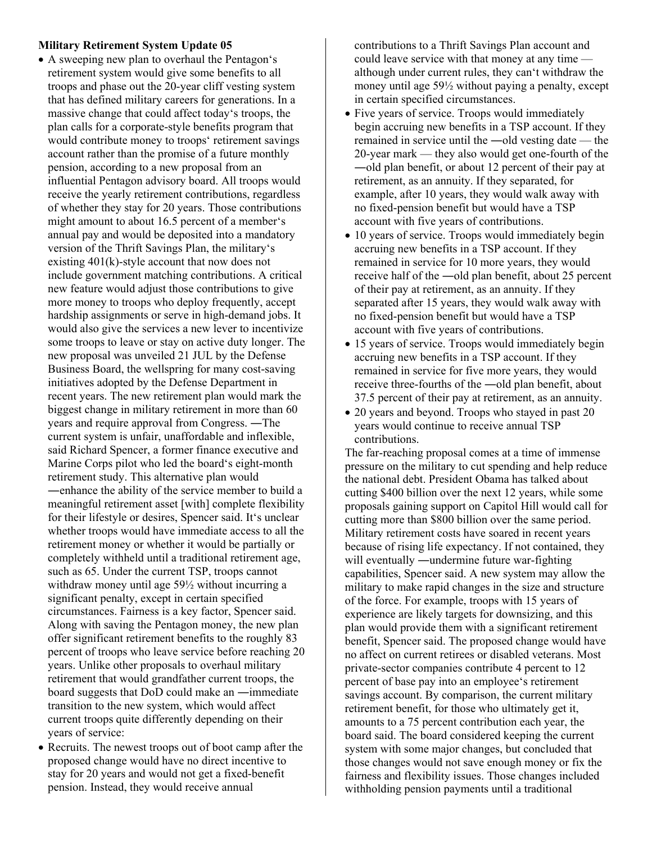#### **Military Retirement System Update 05**

- A sweeping new plan to overhaul the Pentagon's retirement system would give some benefits to all troops and phase out the 20-year cliff vesting system that has defined military careers for generations. In a massive change that could affect today's troops, the plan calls for a corporate-style benefits program that would contribute money to troops' retirement savings account rather than the promise of a future monthly pension, according to a new proposal from an influential Pentagon advisory board. All troops would receive the yearly retirement contributions, regardless of whether they stay for 20 years. Those contributions might amount to about 16.5 percent of a member's annual pay and would be deposited into a mandatory version of the Thrift Savings Plan, the military's existing 401(k)-style account that now does not include government matching contributions. A critical new feature would adjust those contributions to give more money to troops who deploy frequently, accept hardship assignments or serve in high-demand jobs. It would also give the services a new lever to incentivize some troops to leave or stay on active duty longer. The new proposal was unveiled 21 JUL by the Defense Business Board, the wellspring for many cost-saving initiatives adopted by the Defense Department in recent years. The new retirement plan would mark the biggest change in military retirement in more than 60 years and require approval from Congress. ―The current system is unfair, unaffordable and inflexible, said Richard Spencer, a former finance executive and Marine Corps pilot who led the board's eight-month retirement study. This alternative plan would ―enhance the ability of the service member to build a meaningful retirement asset [with] complete flexibility for their lifestyle or desires, Spencer said. It's unclear whether troops would have immediate access to all the retirement money or whether it would be partially or completely withheld until a traditional retirement age, such as 65. Under the current TSP, troops cannot withdraw money until age 59½ without incurring a significant penalty, except in certain specified circumstances. Fairness is a key factor, Spencer said. Along with saving the Pentagon money, the new plan offer significant retirement benefits to the roughly 83 percent of troops who leave service before reaching 20 years. Unlike other proposals to overhaul military retirement that would grandfather current troops, the board suggests that DoD could make an ―immediate transition to the new system, which would affect current troops quite differently depending on their years of service:
- Recruits. The newest troops out of boot camp after the proposed change would have no direct incentive to stay for 20 years and would not get a fixed-benefit pension. Instead, they would receive annual

contributions to a Thrift Savings Plan account and could leave service with that money at any time although under current rules, they can't withdraw the money until age 59½ without paying a penalty, except in certain specified circumstances.

- Five years of service. Troops would immediately begin accruing new benefits in a TSP account. If they remained in service until the ―old vesting date — the 20-year mark — they also would get one-fourth of the ―old plan benefit, or about 12 percent of their pay at retirement, as an annuity. If they separated, for example, after 10 years, they would walk away with no fixed-pension benefit but would have a TSP account with five years of contributions.
- 10 years of service. Troops would immediately begin accruing new benefits in a TSP account. If they remained in service for 10 more years, they would receive half of the ―old plan benefit, about 25 percent of their pay at retirement, as an annuity. If they separated after 15 years, they would walk away with no fixed-pension benefit but would have a TSP account with five years of contributions.
- 15 years of service. Troops would immediately begin accruing new benefits in a TSP account. If they remained in service for five more years, they would receive three-fourths of the ―old plan benefit, about 37.5 percent of their pay at retirement, as an annuity.
- 20 years and beyond. Troops who stayed in past 20 years would continue to receive annual TSP contributions.

The far-reaching proposal comes at a time of immense pressure on the military to cut spending and help reduce the national debt. President Obama has talked about cutting \$400 billion over the next 12 years, while some proposals gaining support on Capitol Hill would call for cutting more than \$800 billion over the same period. Military retirement costs have soared in recent years because of rising life expectancy. If not contained, they will eventually —undermine future war-fighting capabilities, Spencer said. A new system may allow the military to make rapid changes in the size and structure of the force. For example, troops with 15 years of experience are likely targets for downsizing, and this plan would provide them with a significant retirement benefit, Spencer said. The proposed change would have no affect on current retirees or disabled veterans. Most private-sector companies contribute 4 percent to 12 percent of base pay into an employee's retirement savings account. By comparison, the current military retirement benefit, for those who ultimately get it, amounts to a 75 percent contribution each year, the board said. The board considered keeping the current system with some major changes, but concluded that those changes would not save enough money or fix the fairness and flexibility issues. Those changes included withholding pension payments until a traditional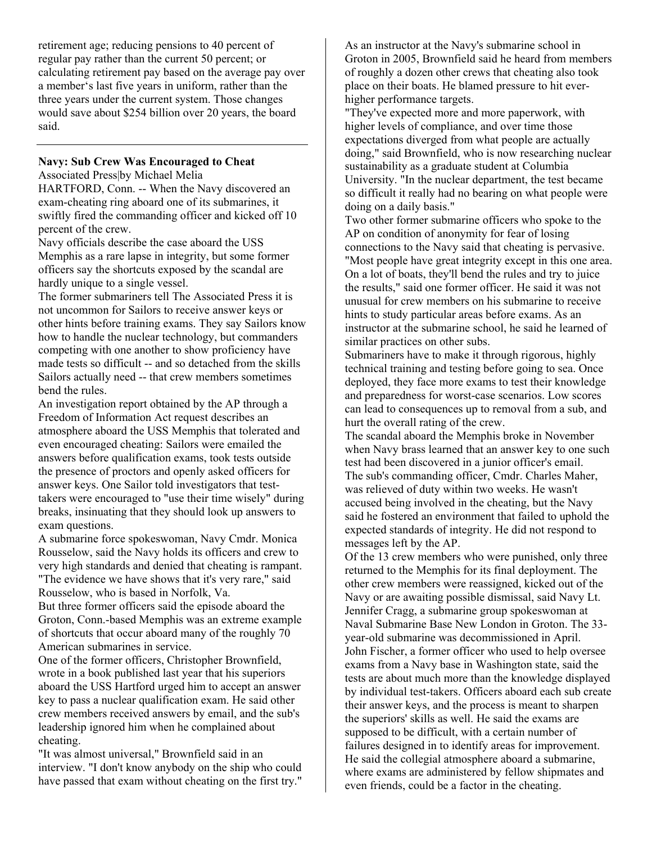retirement age; reducing pensions to 40 percent of regular pay rather than the current 50 percent; or calculating retirement pay based on the average pay over a member's last five years in uniform, rather than the three years under the current system. Those changes would save about \$254 billion over 20 years, the board said.

#### **Navy: Sub Crew Was Encouraged to Cheat**

Associated Press|by Michael Melia

HARTFORD, Conn. -- When the Navy discovered an exam-cheating ring aboard one of its submarines, it swiftly fired the commanding officer and kicked off 10 percent of the crew.

Navy officials describe the case aboard the USS Memphis as a rare lapse in integrity, but some former officers say the shortcuts exposed by the scandal are hardly unique to a single vessel.

The former submariners tell The Associated Press it is not uncommon for Sailors to receive answer keys or other hints before training exams. They say Sailors know how to handle the nuclear technology, but commanders competing with one another to show proficiency have made tests so difficult -- and so detached from the skills Sailors actually need -- that crew members sometimes bend the rules.

An investigation report obtained by the AP through a Freedom of Information Act request describes an atmosphere aboard the USS Memphis that tolerated and even encouraged cheating: Sailors were emailed the answers before qualification exams, took tests outside the presence of proctors and openly asked officers for answer keys. One Sailor told investigators that testtakers were encouraged to "use their time wisely" during breaks, insinuating that they should look up answers to exam questions.

A submarine force spokeswoman, Navy Cmdr. Monica Rousselow, said the Navy holds its officers and crew to very high standards and denied that cheating is rampant. "The evidence we have shows that it's very rare," said Rousselow, who is based in Norfolk, Va.

But three former officers said the episode aboard the Groton, Conn.-based Memphis was an extreme example of shortcuts that occur aboard many of the roughly 70 American submarines in service.

One of the former officers, Christopher Brownfield, wrote in a book published last year that his superiors aboard the USS Hartford urged him to accept an answer key to pass a nuclear qualification exam. He said other crew members received answers by email, and the sub's leadership ignored him when he complained about cheating.

"It was almost universal," Brownfield said in an interview. "I don't know anybody on the ship who could have passed that exam without cheating on the first try."

As an instructor at the Navy's submarine school in Groton in 2005, Brownfield said he heard from members of roughly a dozen other crews that cheating also took place on their boats. He blamed pressure to hit everhigher performance targets.

"They've expected more and more paperwork, with higher levels of compliance, and over time those expectations diverged from what people are actually doing," said Brownfield, who is now researching nuclear sustainability as a graduate student at Columbia University. "In the nuclear department, the test became so difficult it really had no bearing on what people were doing on a daily basis."

Two other former submarine officers who spoke to the AP on condition of anonymity for fear of losing connections to the Navy said that cheating is pervasive. "Most people have great integrity except in this one area. On a lot of boats, they'll bend the rules and try to juice the results," said one former officer. He said it was not unusual for crew members on his submarine to receive hints to study particular areas before exams. As an instructor at the submarine school, he said he learned of similar practices on other subs.

Submariners have to make it through rigorous, highly technical training and testing before going to sea. Once deployed, they face more exams to test their knowledge and preparedness for worst-case scenarios. Low scores can lead to consequences up to removal from a sub, and hurt the overall rating of the crew.

The scandal aboard the Memphis broke in November when Navy brass learned that an answer key to one such test had been discovered in a junior officer's email. The sub's commanding officer, Cmdr. Charles Maher, was relieved of duty within two weeks. He wasn't accused being involved in the cheating, but the Navy said he fostered an environment that failed to uphold the expected standards of integrity. He did not respond to messages left by the AP.

Of the 13 crew members who were punished, only three returned to the Memphis for its final deployment. The other crew members were reassigned, kicked out of the Navy or are awaiting possible dismissal, said Navy Lt. Jennifer Cragg, a submarine group spokeswoman at Naval Submarine Base New London in Groton. The 33 year-old submarine was decommissioned in April. John Fischer, a former officer who used to help oversee exams from a Navy base in Washington state, said the tests are about much more than the knowledge displayed by individual test-takers. Officers aboard each sub create their answer keys, and the process is meant to sharpen the superiors' skills as well. He said the exams are supposed to be difficult, with a certain number of failures designed in to identify areas for improvement. He said the collegial atmosphere aboard a submarine, where exams are administered by fellow shipmates and even friends, could be a factor in the cheating.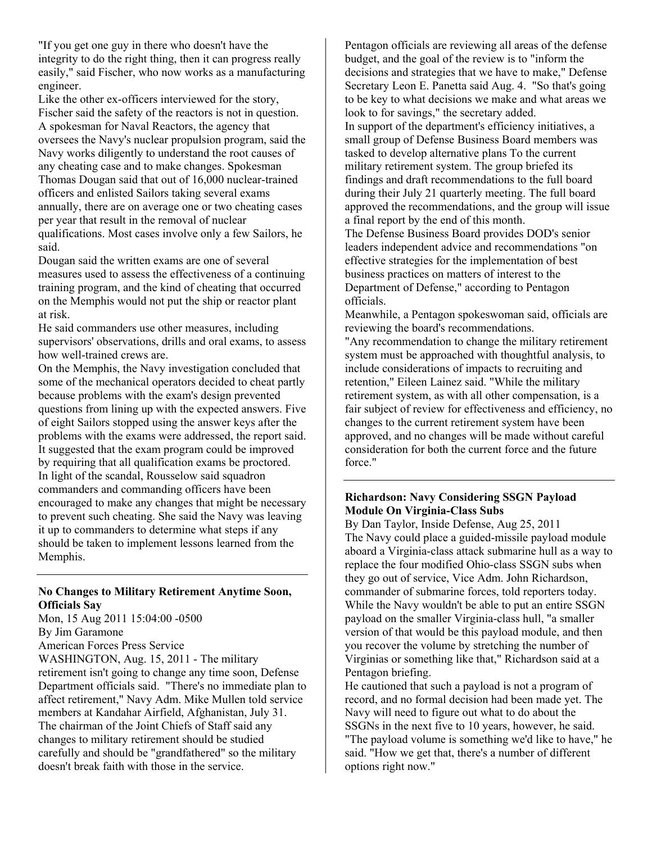"If you get one guy in there who doesn't have the integrity to do the right thing, then it can progress really easily," said Fischer, who now works as a manufacturing engineer.

Like the other ex-officers interviewed for the story, Fischer said the safety of the reactors is not in question. A spokesman for Naval Reactors, the agency that oversees the Navy's nuclear propulsion program, said the Navy works diligently to understand the root causes of any cheating case and to make changes. Spokesman Thomas Dougan said that out of 16,000 nuclear-trained officers and enlisted Sailors taking several exams annually, there are on average one or two cheating cases per year that result in the removal of nuclear qualifications. Most cases involve only a few Sailors, he said.

Dougan said the written exams are one of several measures used to assess the effectiveness of a continuing training program, and the kind of cheating that occurred on the Memphis would not put the ship or reactor plant at risk.

He said commanders use other measures, including supervisors' observations, drills and oral exams, to assess how well-trained crews are.

On the Memphis, the Navy investigation concluded that some of the mechanical operators decided to cheat partly because problems with the exam's design prevented questions from lining up with the expected answers. Five of eight Sailors stopped using the answer keys after the problems with the exams were addressed, the report said. It suggested that the exam program could be improved by requiring that all qualification exams be proctored. In light of the scandal, Rousselow said squadron commanders and commanding officers have been encouraged to make any changes that might be necessary to prevent such cheating. She said the Navy was leaving it up to commanders to determine what steps if any should be taken to implement lessons learned from the Memphis.

#### **No Changes to Military Retirement Anytime Soon, Officials Say**

Mon, 15 Aug 2011 15:04:00 -0500 By Jim Garamone American Forces Press Service WASHINGTON, Aug. 15, 2011 - The military retirement isn't going to change any time soon, Defense Department officials said. "There's no immediate plan to affect retirement," Navy Adm. Mike Mullen told service members at Kandahar Airfield, Afghanistan, July 31. The chairman of the Joint Chiefs of Staff said any changes to military retirement should be studied carefully and should be "grandfathered" so the military doesn't break faith with those in the service.

Pentagon officials are reviewing all areas of the defense budget, and the goal of the review is to "inform the decisions and strategies that we have to make," Defense Secretary Leon E. Panetta said Aug. 4. "So that's going to be key to what decisions we make and what areas we look to for savings," the secretary added.

In support of the department's efficiency initiatives, a small group of Defense Business Board members was tasked to develop alternative plans To the current military retirement system. The group briefed its findings and draft recommendations to the full board during their July 21 quarterly meeting. The full board approved the recommendations, and the group will issue a final report by the end of this month.

The Defense Business Board provides DOD's senior leaders independent advice and recommendations "on effective strategies for the implementation of best business practices on matters of interest to the Department of Defense," according to Pentagon officials.

Meanwhile, a Pentagon spokeswoman said, officials are reviewing the board's recommendations.

"Any recommendation to change the military retirement system must be approached with thoughtful analysis, to include considerations of impacts to recruiting and retention," Eileen Lainez said. "While the military retirement system, as with all other compensation, is a fair subject of review for effectiveness and efficiency, no changes to the current retirement system have been approved, and no changes will be made without careful consideration for both the current force and the future force."

# **Richardson: Navy Considering SSGN Payload Module On Virginia-Class Subs**

By Dan Taylor, Inside Defense, Aug 25, 2011 The Navy could place a guided-missile payload module aboard a Virginia-class attack submarine hull as a way to replace the four modified Ohio-class SSGN subs when they go out of service, Vice Adm. John Richardson, commander of submarine forces, told reporters today. While the Navy wouldn't be able to put an entire SSGN payload on the smaller Virginia-class hull, "a smaller version of that would be this payload module, and then you recover the volume by stretching the number of Virginias or something like that," Richardson said at a Pentagon briefing.

He cautioned that such a payload is not a program of record, and no formal decision had been made yet. The Navy will need to figure out what to do about the SSGNs in the next five to 10 years, however, he said. "The payload volume is something we'd like to have," he said. "How we get that, there's a number of different options right now."